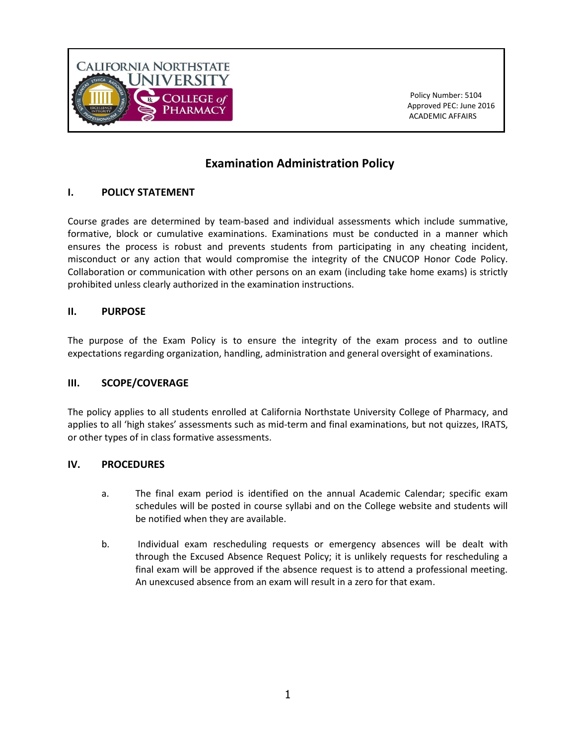

 Policy Number: 5104 Approved PEC: June 2016 ACADEMIC AFFAIRS

# **Examination Administration Policy**

## **I. POLICY STATEMENT**

Course grades are determined by team-based and individual assessments which include summative, formative, block or cumulative examinations. Examinations must be conducted in a manner which ensures the process is robust and prevents students from participating in any cheating incident, misconduct or any action that would compromise the integrity of the CNUCOP Honor Code Policy. Collaboration or communication with other persons on an exam (including take home exams) is strictly prohibited unless clearly authorized in the examination instructions.

### **II. PURPOSE**

The purpose of the Exam Policy is to ensure the integrity of the exam process and to outline expectations regarding organization, handling, administration and general oversight of examinations.

### **III. SCOPE/COVERAGE**

The policy applies to all students enrolled at California Northstate University College of Pharmacy, and applies to all 'high stakes' assessments such as mid-term and final examinations, but not quizzes, IRATS, or other types of in class formative assessments.

### **IV. PROCEDURES**

- a. The final exam period is identified on the annual Academic Calendar; specific exam schedules will be posted in course syllabi and on the College website and students will be notified when they are available.
- b. Individual exam rescheduling requests or emergency absences will be dealt with through the Excused Absence Request Policy; it is unlikely requests for rescheduling a final exam will be approved if the absence request is to attend a professional meeting. An unexcused absence from an exam will result in a zero for that exam.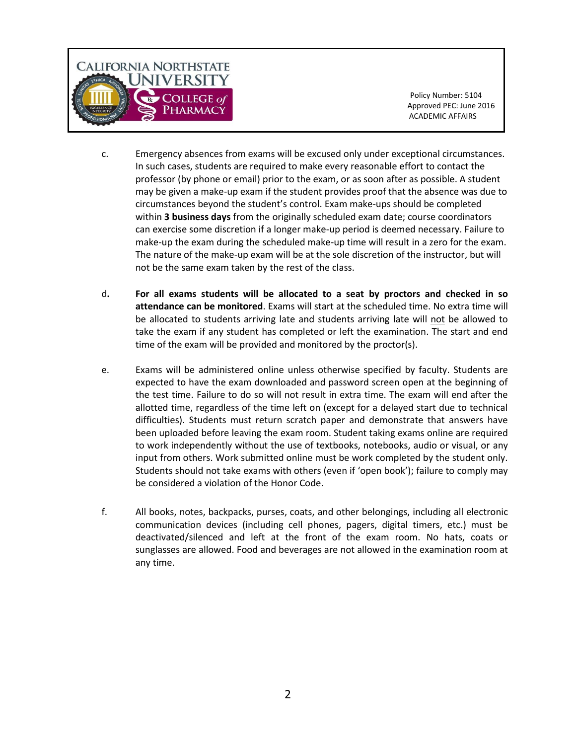

 Policy Number: 5104 Approved PEC: June 2016

- c. Emergency absences from exams will be excused only under exceptional circumstances. In such cases, students are required to make every reasonable effort to contact the professor (by phone or email) prior to the exam, or as soon after as possible. A student may be given a make-up exam if the student provides proof that the absence was due to circumstances beyond the student's control. Exam make-ups should be completed within **3 business days** from the originally scheduled exam date; course coordinators can exercise some discretion if a longer make-up period is deemed necessary. Failure to make-up the exam during the scheduled make-up time will result in a zero for the exam. The nature of the make-up exam will be at the sole discretion of the instructor, but will not be the same exam taken by the rest of the class.
- d**. For all exams students will be allocated to a seat by proctors and checked in so attendance can be monitored**. Exams will start at the scheduled time. No extra time will be allocated to students arriving late and students arriving late will not be allowed to take the exam if any student has completed or left the examination. The start and end time of the exam will be provided and monitored by the proctor(s).
- e. Exams will be administered online unless otherwise specified by faculty. Students are expected to have the exam downloaded and password screen open at the beginning of the test time. Failure to do so will not result in extra time. The exam will end after the allotted time, regardless of the time left on (except for a delayed start due to technical difficulties). Students must return scratch paper and demonstrate that answers have been uploaded before leaving the exam room. Student taking exams online are required to work independently without the use of textbooks, notebooks, audio or visual, or any input from others. Work submitted online must be work completed by the student only. Students should not take exams with others (even if 'open book'); failure to comply may be considered a violation of the Honor Code.
- f. All books, notes, backpacks, purses, coats, and other belongings, including all electronic communication devices (including cell phones, pagers, digital timers, etc.) must be deactivated/silenced and left at the front of the exam room. No hats, coats or sunglasses are allowed. Food and beverages are not allowed in the examination room at any time.